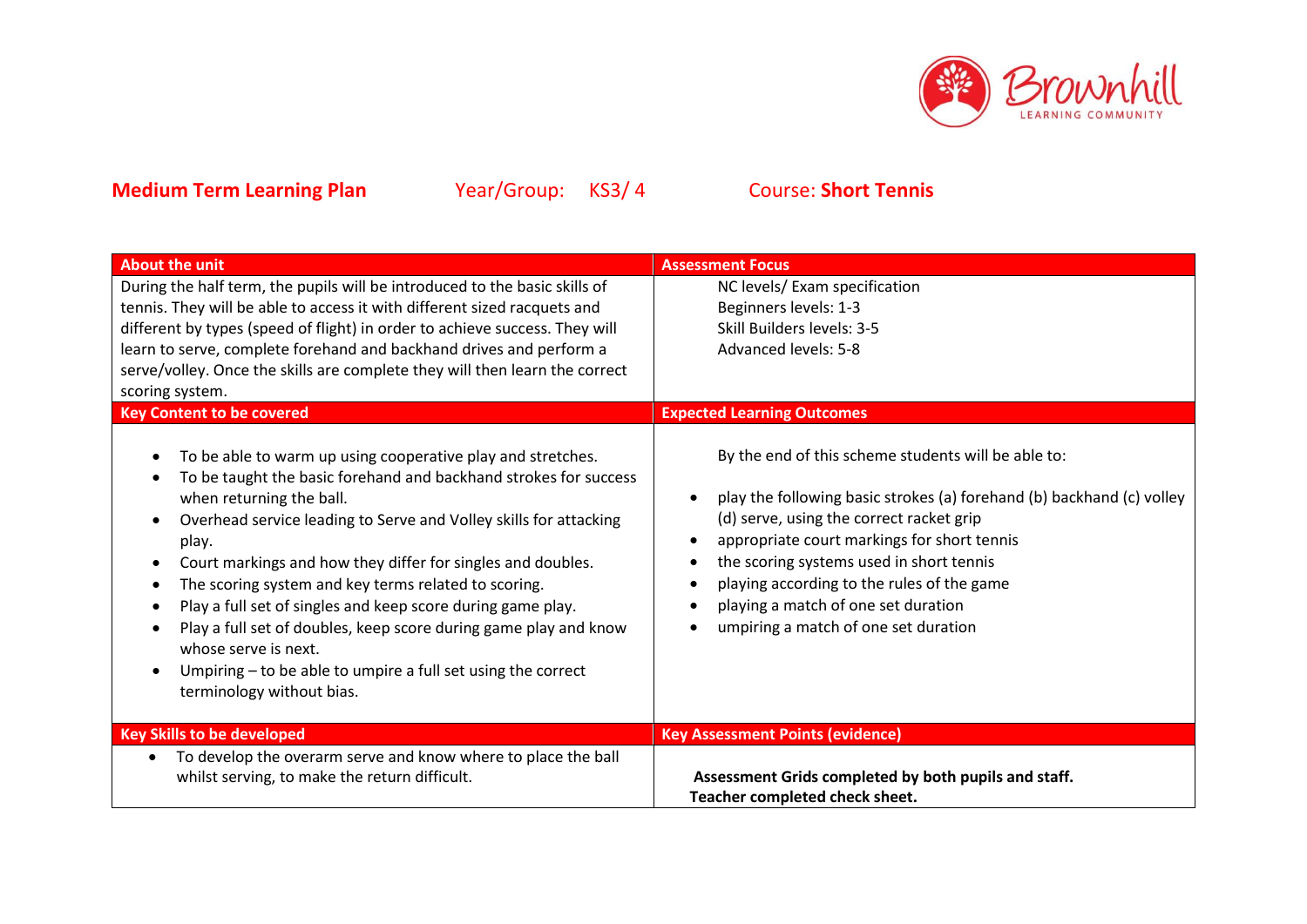

| <b>About the unit</b>                                                                                                                                                                                                                                                                                                                                                                                                                                                                                                                                                                                                    | <b>Assessment Focus</b>                                                                                                                                                                                                                                                                                                                                                                          |
|--------------------------------------------------------------------------------------------------------------------------------------------------------------------------------------------------------------------------------------------------------------------------------------------------------------------------------------------------------------------------------------------------------------------------------------------------------------------------------------------------------------------------------------------------------------------------------------------------------------------------|--------------------------------------------------------------------------------------------------------------------------------------------------------------------------------------------------------------------------------------------------------------------------------------------------------------------------------------------------------------------------------------------------|
| During the half term, the pupils will be introduced to the basic skills of<br>tennis. They will be able to access it with different sized racquets and<br>different by types (speed of flight) in order to achieve success. They will                                                                                                                                                                                                                                                                                                                                                                                    | NC levels/ Exam specification<br>Beginners levels: 1-3<br>Skill Builders levels: 3-5                                                                                                                                                                                                                                                                                                             |
| learn to serve, complete forehand and backhand drives and perform a<br>serve/volley. Once the skills are complete they will then learn the correct<br>scoring system.                                                                                                                                                                                                                                                                                                                                                                                                                                                    | Advanced levels: 5-8                                                                                                                                                                                                                                                                                                                                                                             |
| <b>Key Content to be covered</b>                                                                                                                                                                                                                                                                                                                                                                                                                                                                                                                                                                                         | <b>Expected Learning Outcomes</b>                                                                                                                                                                                                                                                                                                                                                                |
| To be able to warm up using cooperative play and stretches.<br>To be taught the basic forehand and backhand strokes for success<br>when returning the ball.<br>Overhead service leading to Serve and Volley skills for attacking<br>play.<br>Court markings and how they differ for singles and doubles.<br>The scoring system and key terms related to scoring.<br>Play a full set of singles and keep score during game play.<br>Play a full set of doubles, keep score during game play and know<br>whose serve is next.<br>Umpiring - to be able to umpire a full set using the correct<br>terminology without bias. | By the end of this scheme students will be able to:<br>play the following basic strokes (a) forehand (b) backhand (c) volley<br>(d) serve, using the correct racket grip<br>appropriate court markings for short tennis<br>the scoring systems used in short tennis<br>playing according to the rules of the game<br>playing a match of one set duration<br>umpiring a match of one set duration |
| <b>Key Skills to be developed</b>                                                                                                                                                                                                                                                                                                                                                                                                                                                                                                                                                                                        | <b>Key Assessment Points (evidence)</b>                                                                                                                                                                                                                                                                                                                                                          |
| To develop the overarm serve and know where to place the ball<br>whilst serving, to make the return difficult.                                                                                                                                                                                                                                                                                                                                                                                                                                                                                                           | Assessment Grids completed by both pupils and staff.<br>Teacher completed check sheet.                                                                                                                                                                                                                                                                                                           |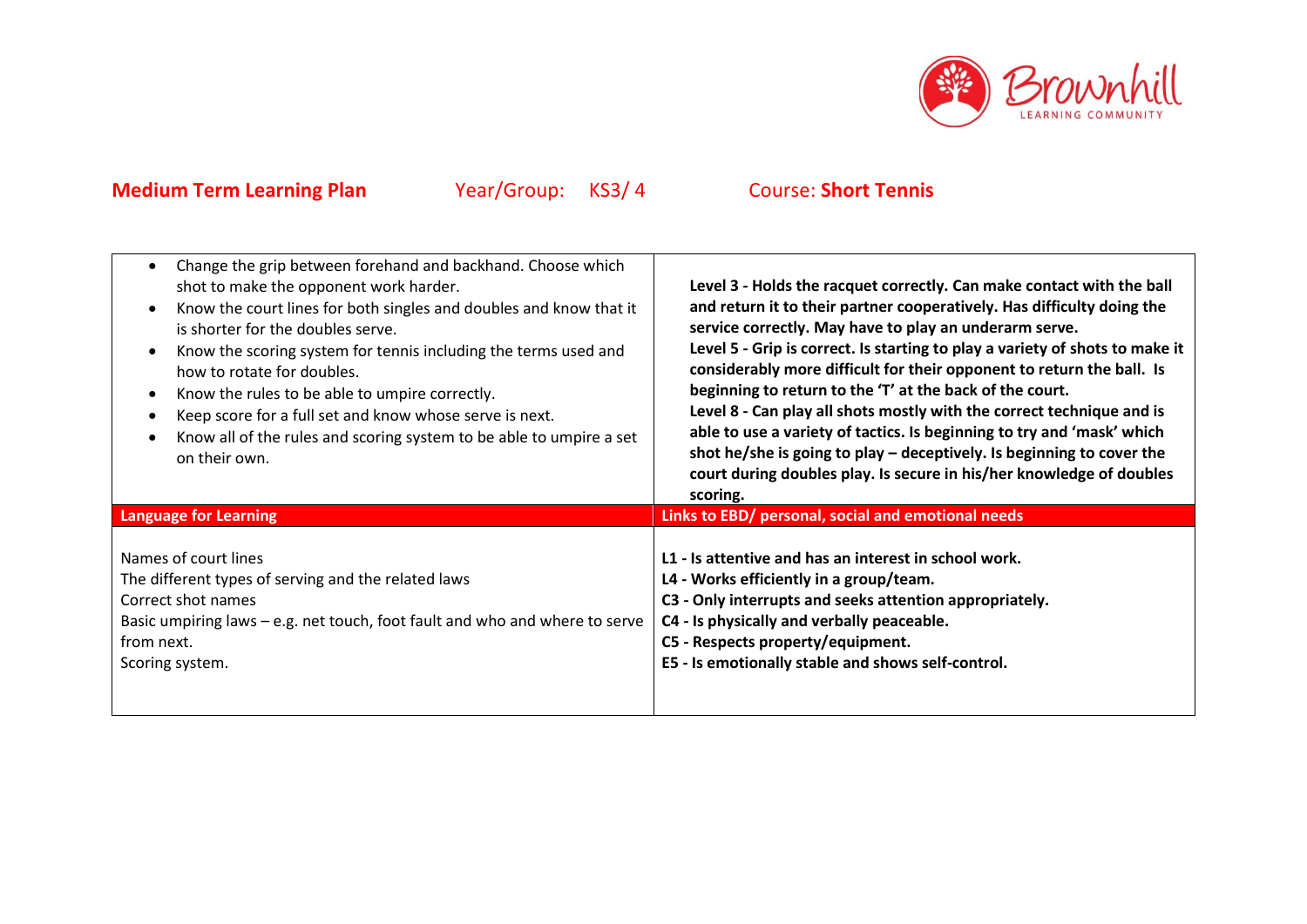

| Change the grip between forehand and backhand. Choose which<br>$\bullet$<br>shot to make the opponent work harder.<br>Know the court lines for both singles and doubles and know that it<br>$\bullet$<br>is shorter for the doubles serve.<br>Know the scoring system for tennis including the terms used and<br>$\bullet$<br>how to rotate for doubles.<br>Know the rules to be able to umpire correctly.<br>$\bullet$<br>Keep score for a full set and know whose serve is next.<br>$\bullet$<br>Know all of the rules and scoring system to be able to umpire a set<br>on their own. | Level 3 - Holds the racquet correctly. Can make contact with the ball<br>and return it to their partner cooperatively. Has difficulty doing the<br>service correctly. May have to play an underarm serve.<br>Level 5 - Grip is correct. Is starting to play a variety of shots to make it<br>considerably more difficult for their opponent to return the ball. Is<br>beginning to return to the 'T' at the back of the court.<br>Level 8 - Can play all shots mostly with the correct technique and is<br>able to use a variety of tactics. Is beginning to try and 'mask' which<br>shot he/she is going to play - deceptively. Is beginning to cover the<br>court during doubles play. Is secure in his/her knowledge of doubles<br>scoring. |
|-----------------------------------------------------------------------------------------------------------------------------------------------------------------------------------------------------------------------------------------------------------------------------------------------------------------------------------------------------------------------------------------------------------------------------------------------------------------------------------------------------------------------------------------------------------------------------------------|------------------------------------------------------------------------------------------------------------------------------------------------------------------------------------------------------------------------------------------------------------------------------------------------------------------------------------------------------------------------------------------------------------------------------------------------------------------------------------------------------------------------------------------------------------------------------------------------------------------------------------------------------------------------------------------------------------------------------------------------|
| <b>Language for Learning</b>                                                                                                                                                                                                                                                                                                                                                                                                                                                                                                                                                            | Links to EBD/ personal, social and emotional needs                                                                                                                                                                                                                                                                                                                                                                                                                                                                                                                                                                                                                                                                                             |
| Names of court lines<br>The different types of serving and the related laws<br>Correct shot names<br>Basic umpiring laws – e.g. net touch, foot fault and who and where to serve<br>from next.<br>Scoring system.                                                                                                                                                                                                                                                                                                                                                                       | L1 - Is attentive and has an interest in school work.<br>L4 - Works efficiently in a group/team.<br>C3 - Only interrupts and seeks attention appropriately.<br>C4 - Is physically and verbally peaceable.<br>C5 - Respects property/equipment.<br>E5 - Is emotionally stable and shows self-control.                                                                                                                                                                                                                                                                                                                                                                                                                                           |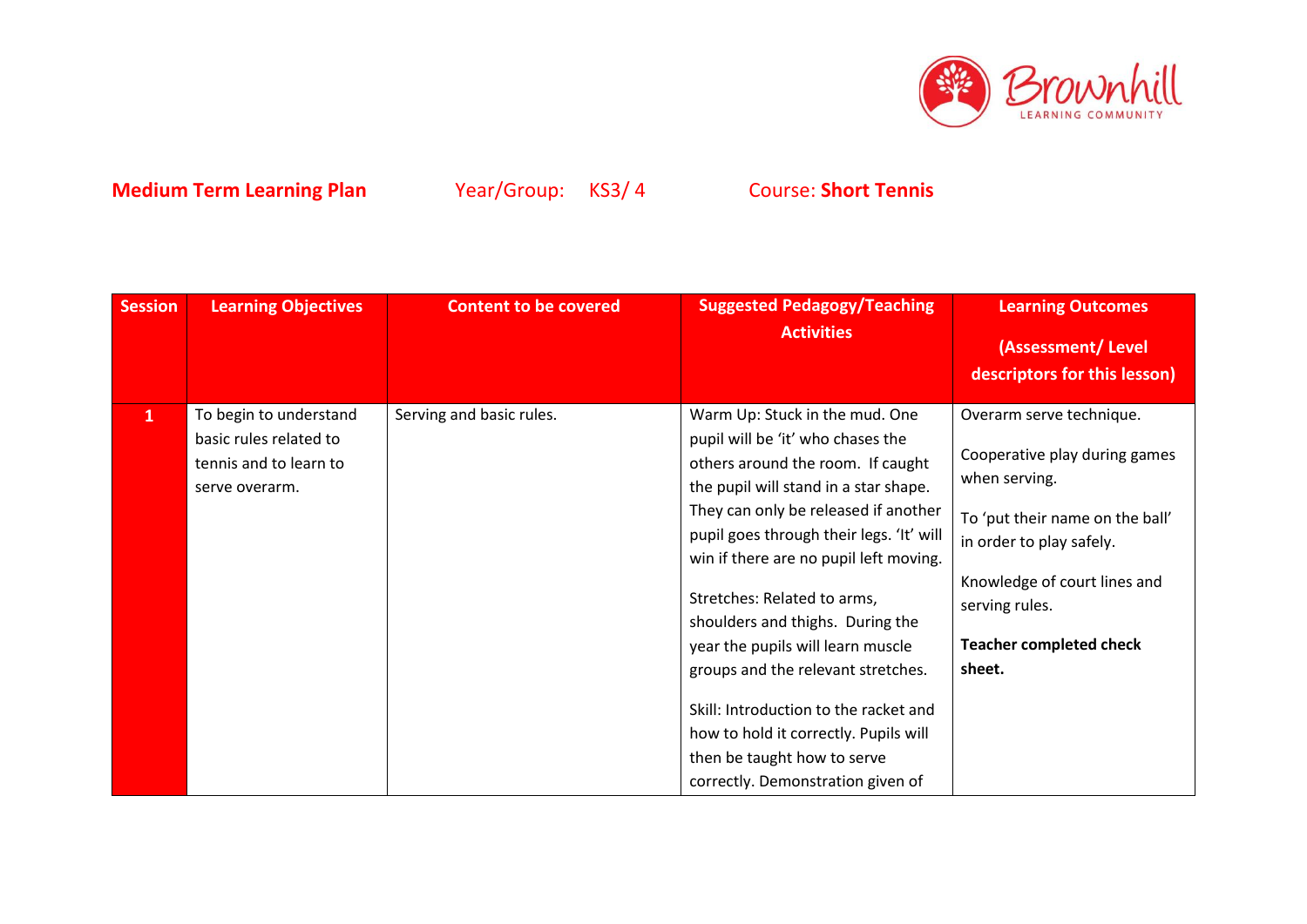

| <b>Session</b> | <b>Learning Objectives</b>                                                                   | <b>Content to be covered</b> | <b>Suggested Pedagogy/Teaching</b><br><b>Activities</b>                                                                                                                                                                                                                                                                                                                                                                                                                                                                                                                             | <b>Learning Outcomes</b><br>(Assessment/Level                                                                                                                                                                                           |
|----------------|----------------------------------------------------------------------------------------------|------------------------------|-------------------------------------------------------------------------------------------------------------------------------------------------------------------------------------------------------------------------------------------------------------------------------------------------------------------------------------------------------------------------------------------------------------------------------------------------------------------------------------------------------------------------------------------------------------------------------------|-----------------------------------------------------------------------------------------------------------------------------------------------------------------------------------------------------------------------------------------|
|                |                                                                                              |                              |                                                                                                                                                                                                                                                                                                                                                                                                                                                                                                                                                                                     | descriptors for this lesson)                                                                                                                                                                                                            |
| $\mathbf{1}$   | To begin to understand<br>basic rules related to<br>tennis and to learn to<br>serve overarm. | Serving and basic rules.     | Warm Up: Stuck in the mud. One<br>pupil will be 'it' who chases the<br>others around the room. If caught<br>the pupil will stand in a star shape.<br>They can only be released if another<br>pupil goes through their legs. 'It' will<br>win if there are no pupil left moving.<br>Stretches: Related to arms,<br>shoulders and thighs. During the<br>year the pupils will learn muscle<br>groups and the relevant stretches.<br>Skill: Introduction to the racket and<br>how to hold it correctly. Pupils will<br>then be taught how to serve<br>correctly. Demonstration given of | Overarm serve technique.<br>Cooperative play during games<br>when serving.<br>To 'put their name on the ball'<br>in order to play safely.<br>Knowledge of court lines and<br>serving rules.<br><b>Teacher completed check</b><br>sheet. |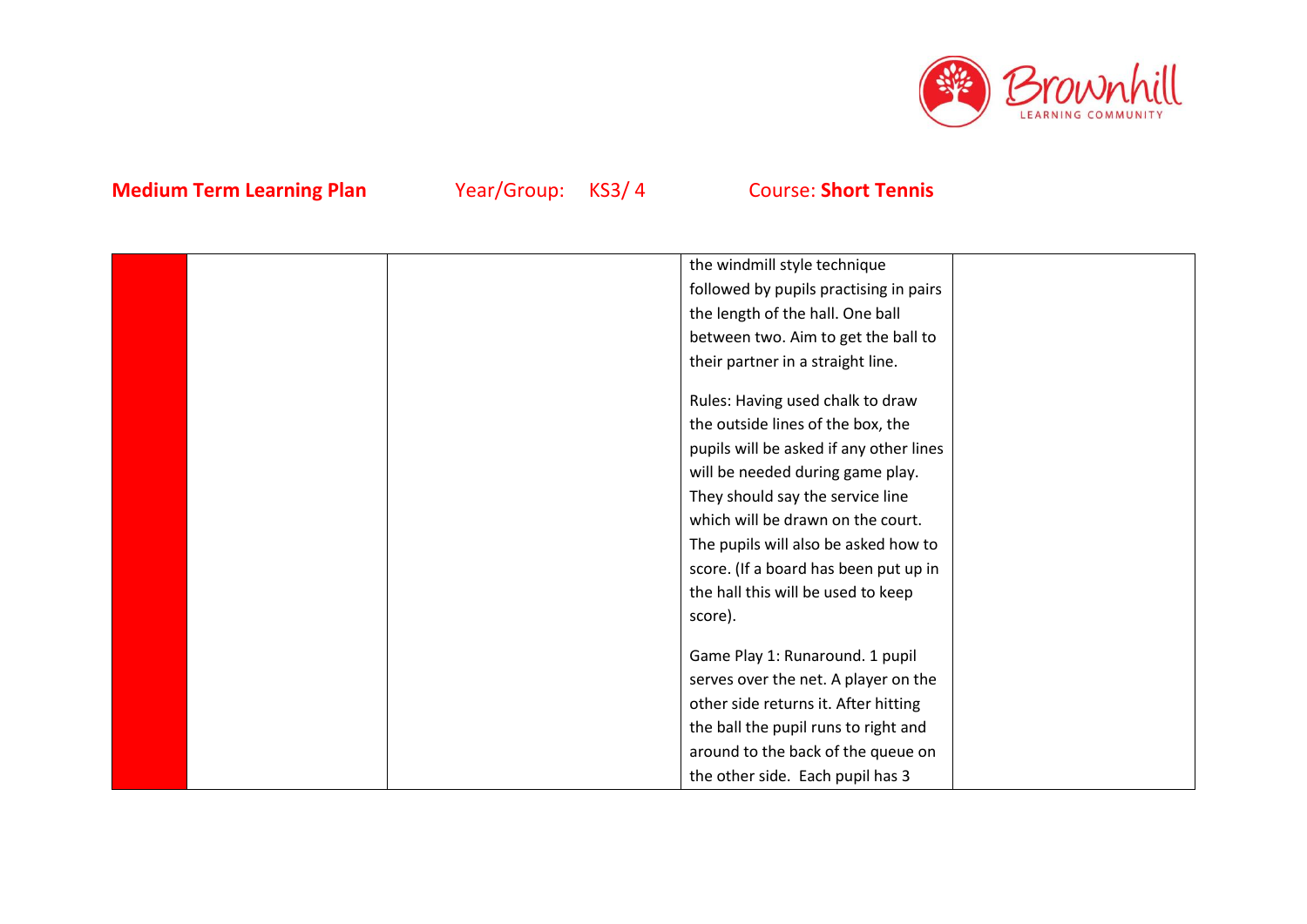

|  | the windmill style technique            |  |
|--|-----------------------------------------|--|
|  | followed by pupils practising in pairs  |  |
|  | the length of the hall. One ball        |  |
|  | between two. Aim to get the ball to     |  |
|  | their partner in a straight line.       |  |
|  |                                         |  |
|  | Rules: Having used chalk to draw        |  |
|  | the outside lines of the box, the       |  |
|  | pupils will be asked if any other lines |  |
|  | will be needed during game play.        |  |
|  | They should say the service line        |  |
|  | which will be drawn on the court.       |  |
|  | The pupils will also be asked how to    |  |
|  | score. (If a board has been put up in   |  |
|  | the hall this will be used to keep      |  |
|  | score).                                 |  |
|  |                                         |  |
|  | Game Play 1: Runaround. 1 pupil         |  |
|  | serves over the net. A player on the    |  |
|  | other side returns it. After hitting    |  |
|  | the ball the pupil runs to right and    |  |
|  | around to the back of the queue on      |  |
|  | the other side. Each pupil has 3        |  |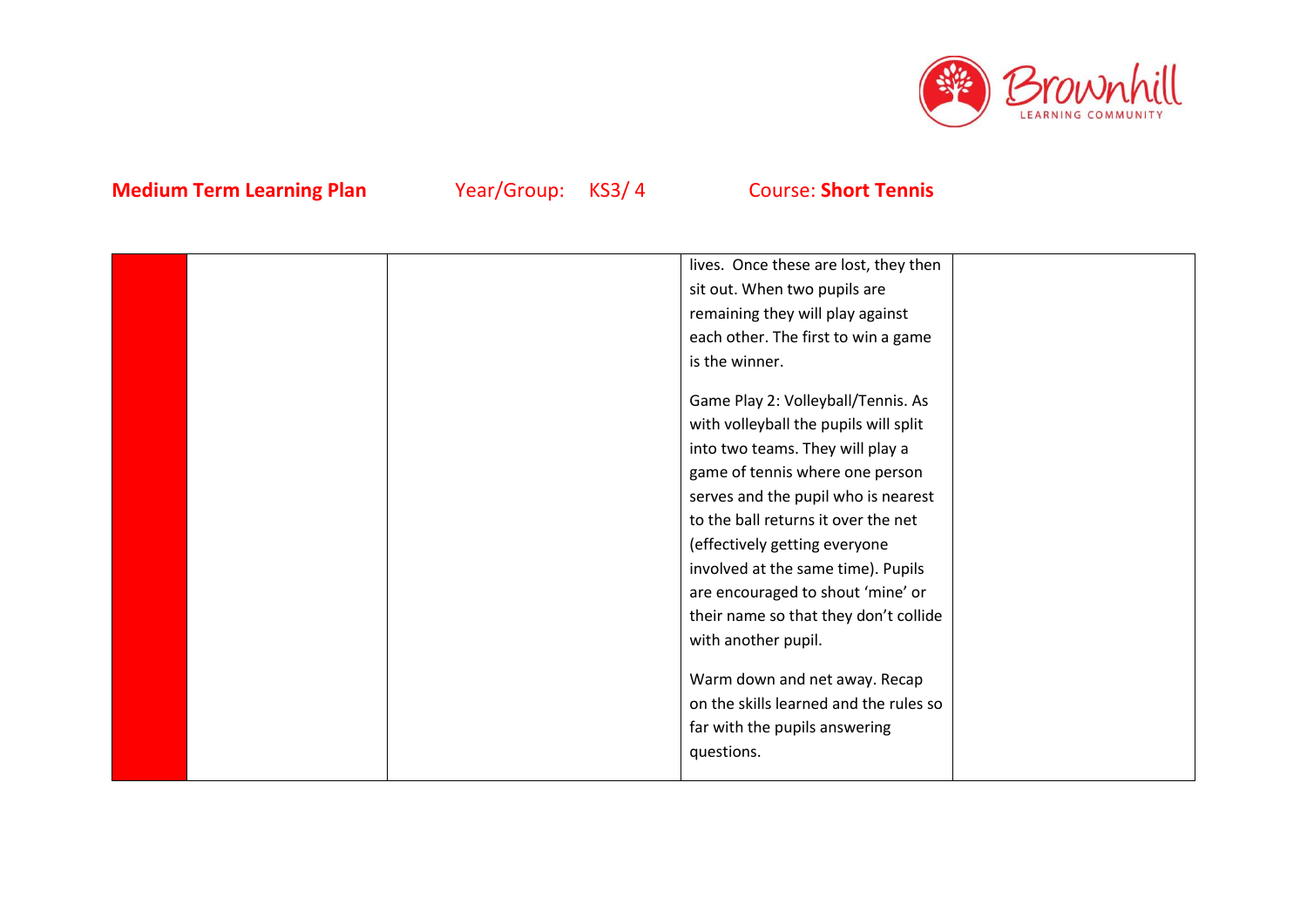

|  | lives. Once these are lost, they then  |  |
|--|----------------------------------------|--|
|  | sit out. When two pupils are           |  |
|  | remaining they will play against       |  |
|  | each other. The first to win a game    |  |
|  | is the winner.                         |  |
|  |                                        |  |
|  | Game Play 2: Volleyball/Tennis. As     |  |
|  | with volleyball the pupils will split  |  |
|  | into two teams. They will play a       |  |
|  | game of tennis where one person        |  |
|  | serves and the pupil who is nearest    |  |
|  | to the ball returns it over the net    |  |
|  | (effectively getting everyone          |  |
|  | involved at the same time). Pupils     |  |
|  | are encouraged to shout 'mine' or      |  |
|  | their name so that they don't collide  |  |
|  | with another pupil.                    |  |
|  |                                        |  |
|  | Warm down and net away. Recap          |  |
|  | on the skills learned and the rules so |  |
|  | far with the pupils answering          |  |
|  | questions.                             |  |
|  |                                        |  |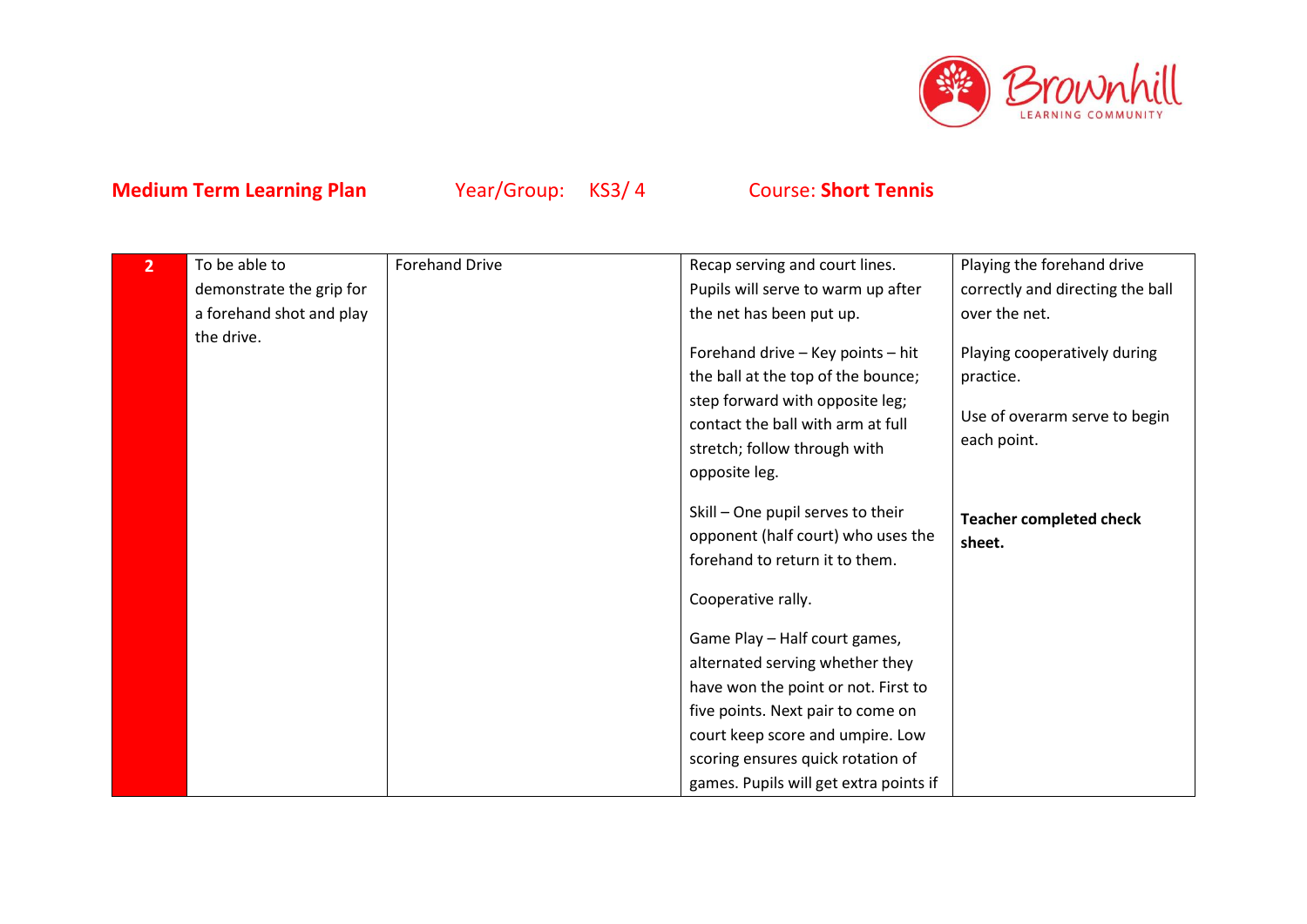

| $\overline{2}$ | To be able to            | <b>Forehand Drive</b> | Recap serving and court lines.                                                                                                                                                                                                                                  | Playing the forehand drive                                                                |
|----------------|--------------------------|-----------------------|-----------------------------------------------------------------------------------------------------------------------------------------------------------------------------------------------------------------------------------------------------------------|-------------------------------------------------------------------------------------------|
|                | demonstrate the grip for |                       | Pupils will serve to warm up after                                                                                                                                                                                                                              | correctly and directing the ball                                                          |
|                | a forehand shot and play |                       | the net has been put up.                                                                                                                                                                                                                                        | over the net.                                                                             |
|                | the drive.               |                       | Forehand drive - Key points - hit<br>the ball at the top of the bounce;<br>step forward with opposite leg;<br>contact the ball with arm at full<br>stretch; follow through with<br>opposite leg.                                                                | Playing cooperatively during<br>practice.<br>Use of overarm serve to begin<br>each point. |
|                |                          |                       | Skill - One pupil serves to their<br>opponent (half court) who uses the<br>forehand to return it to them.                                                                                                                                                       | <b>Teacher completed check</b><br>sheet.                                                  |
|                |                          |                       | Cooperative rally.                                                                                                                                                                                                                                              |                                                                                           |
|                |                          |                       | Game Play - Half court games,<br>alternated serving whether they<br>have won the point or not. First to<br>five points. Next pair to come on<br>court keep score and umpire. Low<br>scoring ensures quick rotation of<br>games. Pupils will get extra points if |                                                                                           |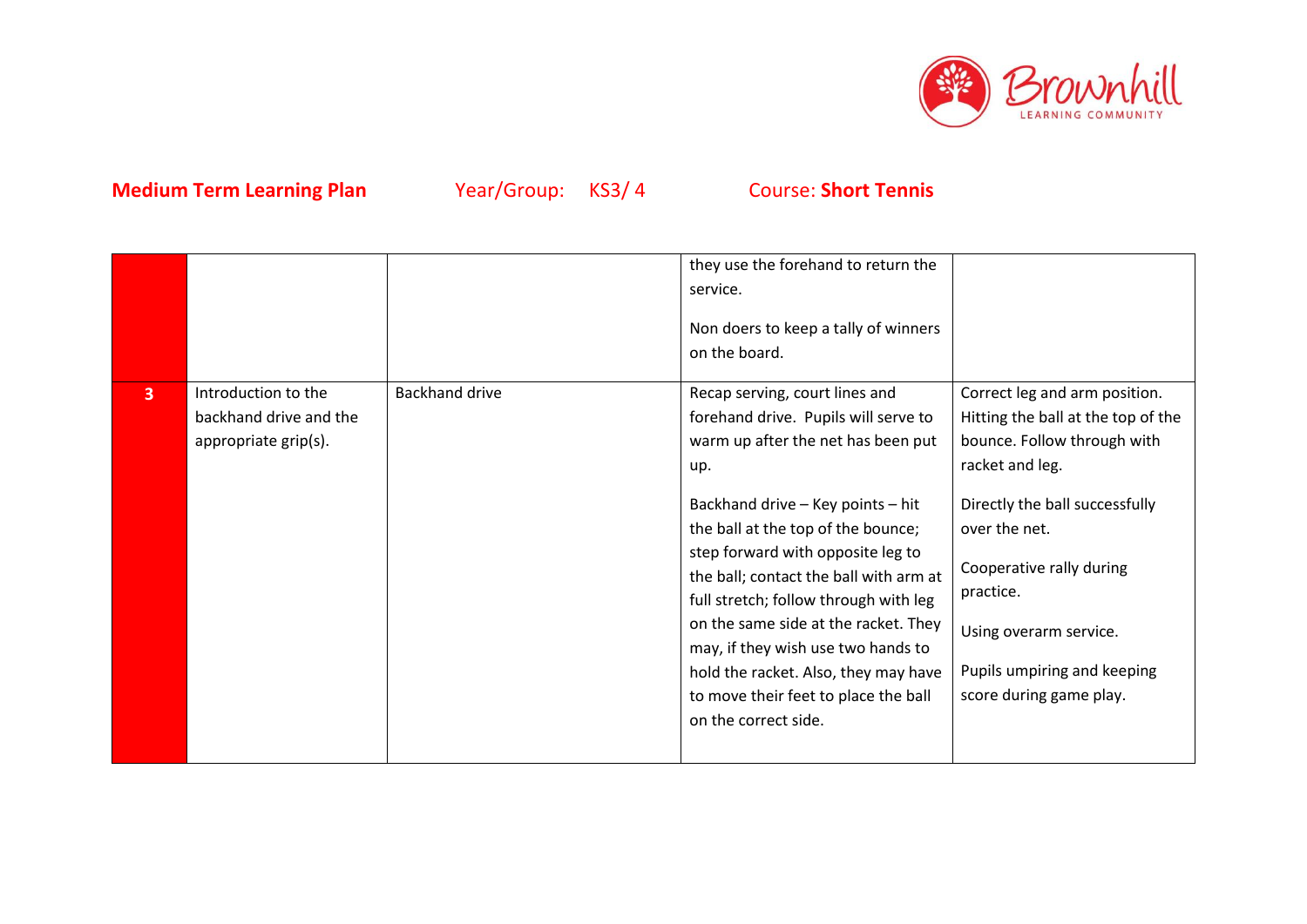

|                         |                                                                       |                       | they use the forehand to return the<br>service.<br>Non doers to keep a tally of winners<br>on the board.                                                                                                                                                                                                                                                                                                                                                                                                     |                                                                                                                                                                                                                                                                                                       |
|-------------------------|-----------------------------------------------------------------------|-----------------------|--------------------------------------------------------------------------------------------------------------------------------------------------------------------------------------------------------------------------------------------------------------------------------------------------------------------------------------------------------------------------------------------------------------------------------------------------------------------------------------------------------------|-------------------------------------------------------------------------------------------------------------------------------------------------------------------------------------------------------------------------------------------------------------------------------------------------------|
| $\overline{\mathbf{3}}$ | Introduction to the<br>backhand drive and the<br>appropriate grip(s). | <b>Backhand drive</b> | Recap serving, court lines and<br>forehand drive. Pupils will serve to<br>warm up after the net has been put<br>up.<br>Backhand drive - Key points - hit<br>the ball at the top of the bounce;<br>step forward with opposite leg to<br>the ball; contact the ball with arm at<br>full stretch; follow through with leg<br>on the same side at the racket. They<br>may, if they wish use two hands to<br>hold the racket. Also, they may have<br>to move their feet to place the ball<br>on the correct side. | Correct leg and arm position.<br>Hitting the ball at the top of the<br>bounce. Follow through with<br>racket and leg.<br>Directly the ball successfully<br>over the net.<br>Cooperative rally during<br>practice.<br>Using overarm service.<br>Pupils umpiring and keeping<br>score during game play. |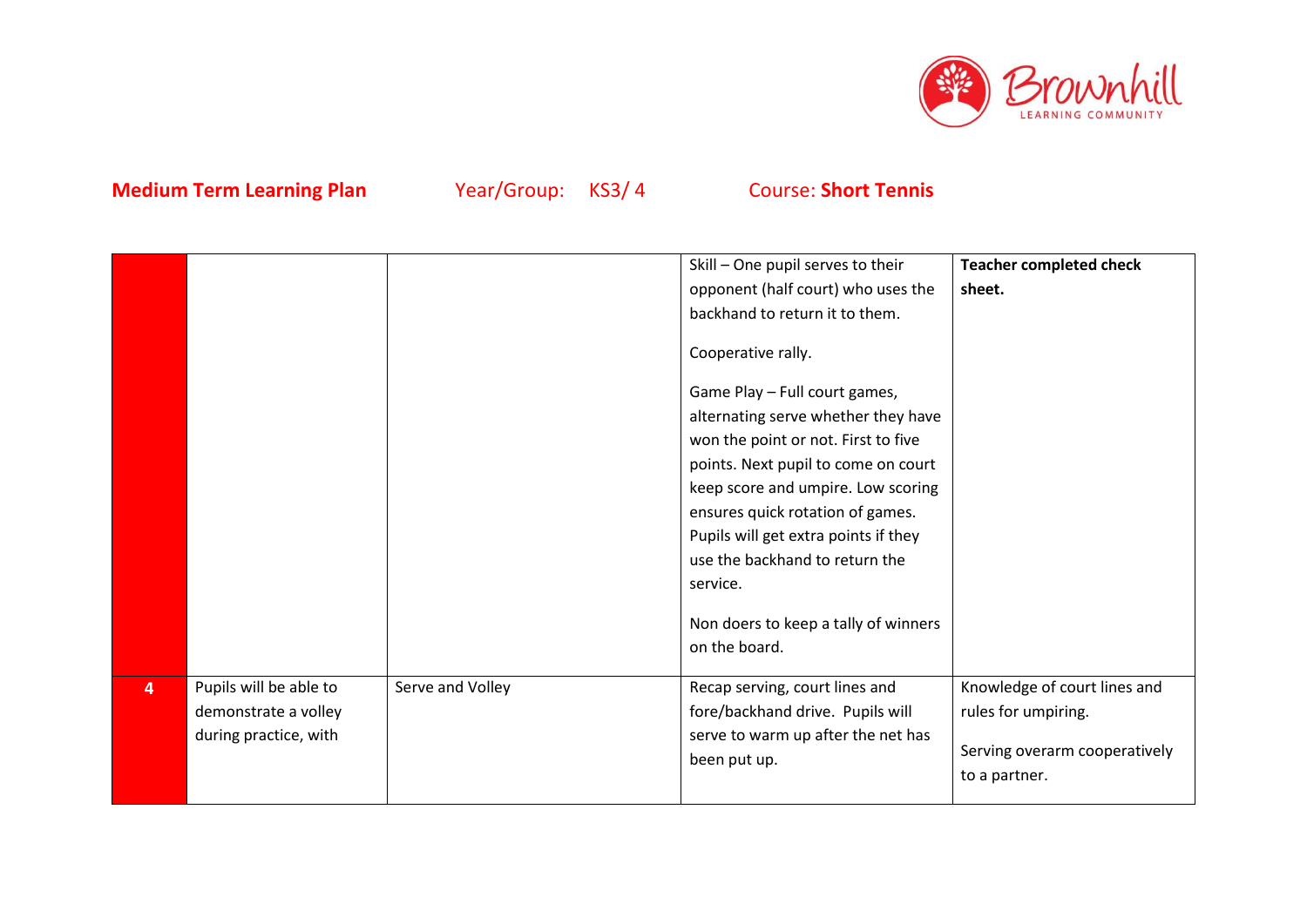

|                |                        |                  | Skill - One pupil serves to their    | <b>Teacher completed check</b> |
|----------------|------------------------|------------------|--------------------------------------|--------------------------------|
|                |                        |                  | opponent (half court) who uses the   | sheet.                         |
|                |                        |                  | backhand to return it to them.       |                                |
|                |                        |                  | Cooperative rally.                   |                                |
|                |                        |                  | Game Play - Full court games,        |                                |
|                |                        |                  | alternating serve whether they have  |                                |
|                |                        |                  | won the point or not. First to five  |                                |
|                |                        |                  | points. Next pupil to come on court  |                                |
|                |                        |                  | keep score and umpire. Low scoring   |                                |
|                |                        |                  | ensures quick rotation of games.     |                                |
|                |                        |                  | Pupils will get extra points if they |                                |
|                |                        |                  | use the backhand to return the       |                                |
|                |                        |                  | service.                             |                                |
|                |                        |                  |                                      |                                |
|                |                        |                  | Non doers to keep a tally of winners |                                |
|                |                        |                  | on the board.                        |                                |
| $\overline{4}$ | Pupils will be able to | Serve and Volley | Recap serving, court lines and       | Knowledge of court lines and   |
|                | demonstrate a volley   |                  | fore/backhand drive. Pupils will     | rules for umpiring.            |
|                | during practice, with  |                  | serve to warm up after the net has   | Serving overarm cooperatively  |
|                |                        |                  | been put up.                         | to a partner.                  |
|                |                        |                  |                                      |                                |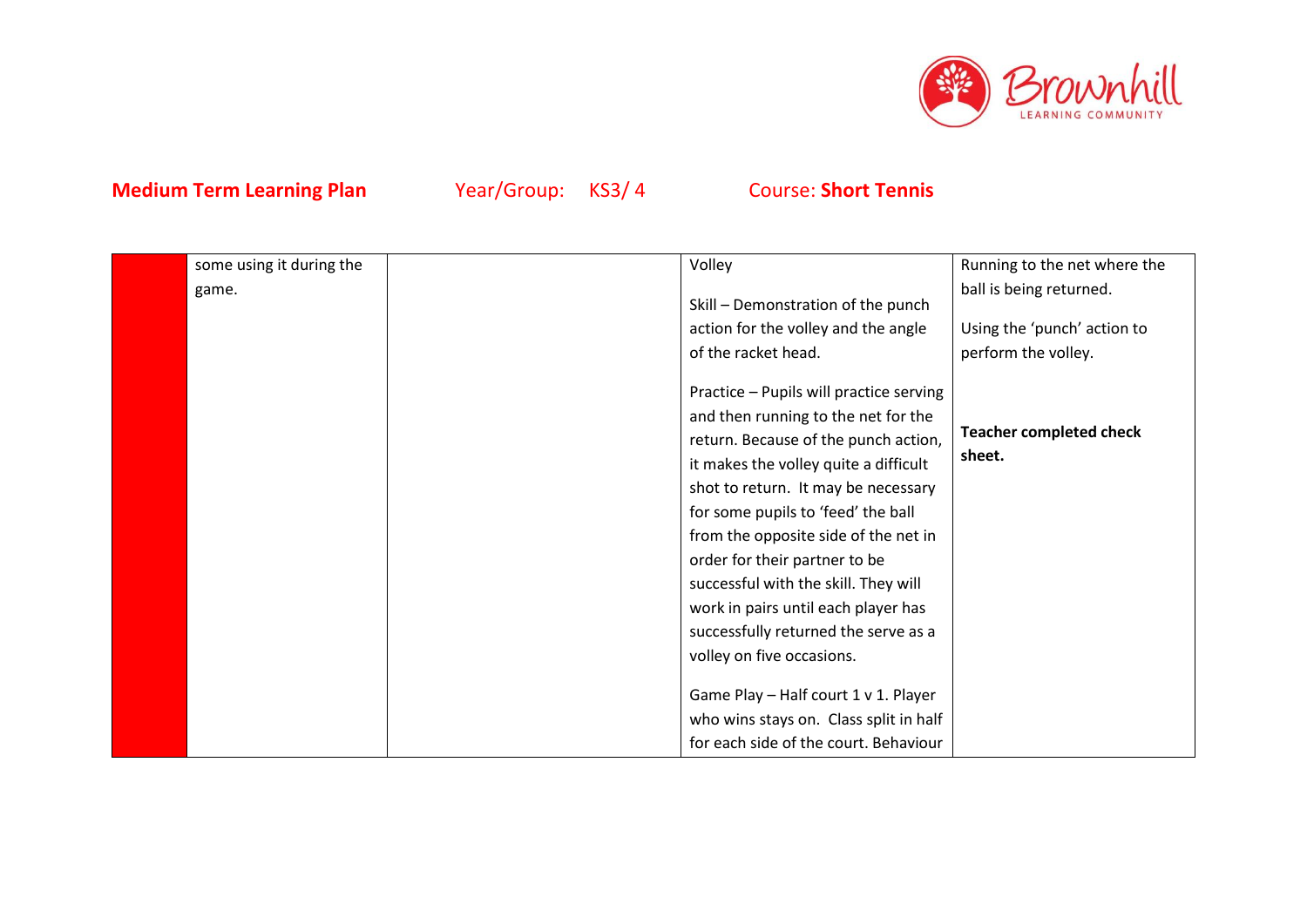

| some using it during the | Volley                                                                                                                                                                                                                                                                                                                                                                                                                                                                                                            | Running to the net where the             |
|--------------------------|-------------------------------------------------------------------------------------------------------------------------------------------------------------------------------------------------------------------------------------------------------------------------------------------------------------------------------------------------------------------------------------------------------------------------------------------------------------------------------------------------------------------|------------------------------------------|
| game.                    | Skill - Demonstration of the punch                                                                                                                                                                                                                                                                                                                                                                                                                                                                                | ball is being returned.                  |
|                          | action for the volley and the angle                                                                                                                                                                                                                                                                                                                                                                                                                                                                               | Using the 'punch' action to              |
|                          | of the racket head.                                                                                                                                                                                                                                                                                                                                                                                                                                                                                               | perform the volley.                      |
|                          | Practice - Pupils will practice serving<br>and then running to the net for the<br>return. Because of the punch action,<br>it makes the volley quite a difficult<br>shot to return. It may be necessary<br>for some pupils to 'feed' the ball<br>from the opposite side of the net in<br>order for their partner to be<br>successful with the skill. They will<br>work in pairs until each player has<br>successfully returned the serve as a<br>volley on five occasions.<br>Game Play - Half court 1 v 1. Player | <b>Teacher completed check</b><br>sheet. |
|                          | who wins stays on. Class split in half<br>for each side of the court. Behaviour                                                                                                                                                                                                                                                                                                                                                                                                                                   |                                          |
|                          |                                                                                                                                                                                                                                                                                                                                                                                                                                                                                                                   |                                          |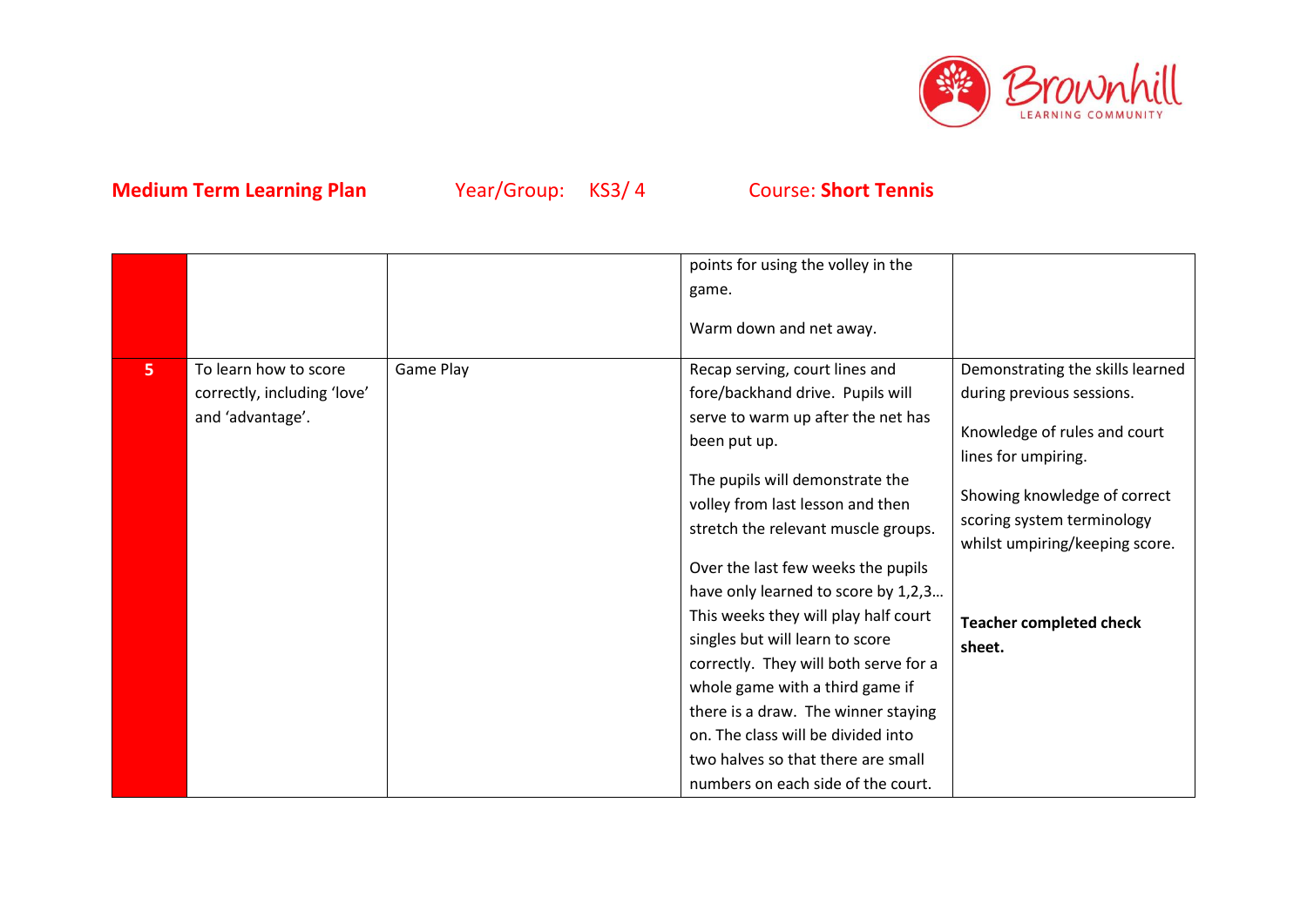

|                |                             |           | points for using the volley in the    |                                                              |
|----------------|-----------------------------|-----------|---------------------------------------|--------------------------------------------------------------|
|                |                             |           | game.                                 |                                                              |
|                |                             |           | Warm down and net away.               |                                                              |
| 5 <sup>1</sup> | To learn how to score       | Game Play | Recap serving, court lines and        | Demonstrating the skills learned                             |
|                | correctly, including 'love' |           | fore/backhand drive. Pupils will      | during previous sessions.                                    |
|                | and 'advantage'.            |           | serve to warm up after the net has    |                                                              |
|                |                             |           | been put up.                          | Knowledge of rules and court<br>lines for umpiring.          |
|                |                             |           | The pupils will demonstrate the       |                                                              |
|                |                             |           | volley from last lesson and then      | Showing knowledge of correct                                 |
|                |                             |           | stretch the relevant muscle groups.   | scoring system terminology<br>whilst umpiring/keeping score. |
|                |                             |           | Over the last few weeks the pupils    |                                                              |
|                |                             |           | have only learned to score by 1,2,3   |                                                              |
|                |                             |           | This weeks they will play half court  | <b>Teacher completed check</b>                               |
|                |                             |           | singles but will learn to score       | sheet.                                                       |
|                |                             |           | correctly. They will both serve for a |                                                              |
|                |                             |           | whole game with a third game if       |                                                              |
|                |                             |           | there is a draw. The winner staying   |                                                              |
|                |                             |           | on. The class will be divided into    |                                                              |
|                |                             |           | two halves so that there are small    |                                                              |
|                |                             |           | numbers on each side of the court.    |                                                              |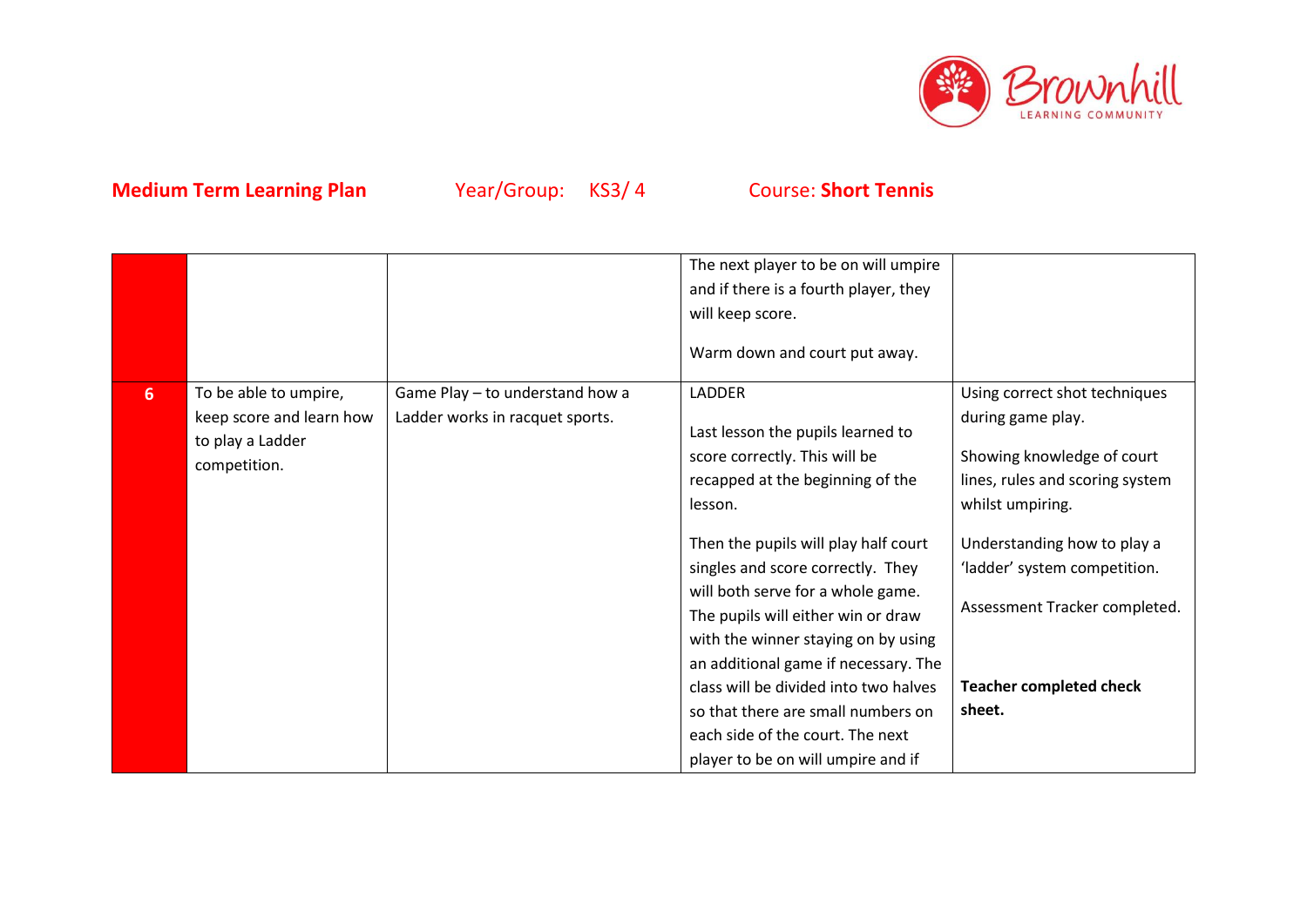

|                |                                                                                       |                                                                    | The next player to be on will umpire<br>and if there is a fourth player, they<br>will keep score.<br>Warm down and court put away.                                                                                                                                                                                                                                                           |                                                                                                                                          |
|----------------|---------------------------------------------------------------------------------------|--------------------------------------------------------------------|----------------------------------------------------------------------------------------------------------------------------------------------------------------------------------------------------------------------------------------------------------------------------------------------------------------------------------------------------------------------------------------------|------------------------------------------------------------------------------------------------------------------------------------------|
| 6 <sup>1</sup> | To be able to umpire,<br>keep score and learn how<br>to play a Ladder<br>competition. | Game Play - to understand how a<br>Ladder works in racquet sports. | <b>LADDER</b><br>Last lesson the pupils learned to<br>score correctly. This will be<br>recapped at the beginning of the<br>lesson.                                                                                                                                                                                                                                                           | Using correct shot techniques<br>during game play.<br>Showing knowledge of court<br>lines, rules and scoring system<br>whilst umpiring.  |
|                |                                                                                       |                                                                    | Then the pupils will play half court<br>singles and score correctly. They<br>will both serve for a whole game.<br>The pupils will either win or draw<br>with the winner staying on by using<br>an additional game if necessary. The<br>class will be divided into two halves<br>so that there are small numbers on<br>each side of the court. The next<br>player to be on will umpire and if | Understanding how to play a<br>'ladder' system competition.<br>Assessment Tracker completed.<br><b>Teacher completed check</b><br>sheet. |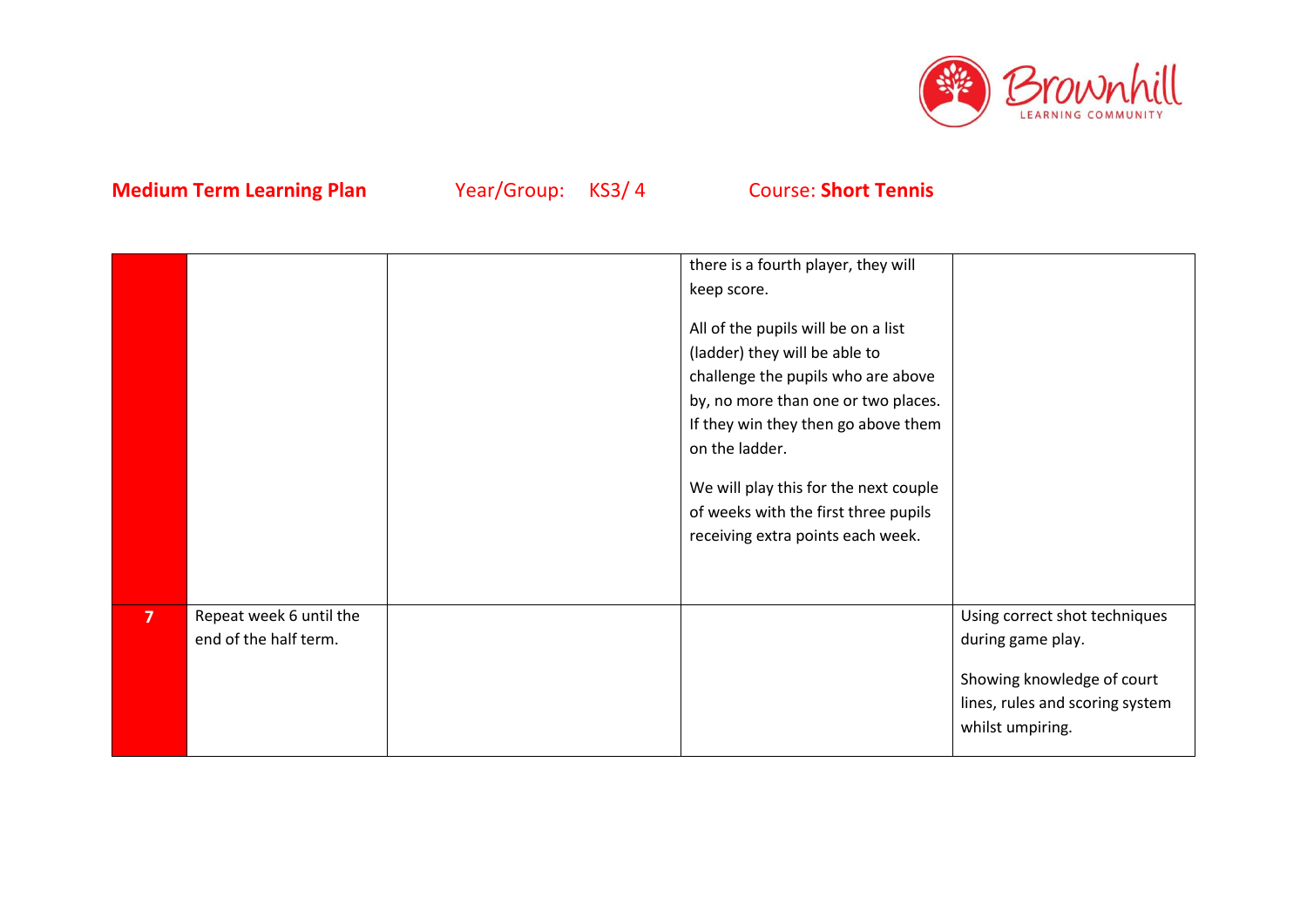

|                |                                                  | there is a fourth player, they will                                                                                                                                                                                                                                                                                              |                                                                                                                                         |
|----------------|--------------------------------------------------|----------------------------------------------------------------------------------------------------------------------------------------------------------------------------------------------------------------------------------------------------------------------------------------------------------------------------------|-----------------------------------------------------------------------------------------------------------------------------------------|
|                |                                                  | keep score.                                                                                                                                                                                                                                                                                                                      |                                                                                                                                         |
|                |                                                  | All of the pupils will be on a list<br>(ladder) they will be able to<br>challenge the pupils who are above<br>by, no more than one or two places.<br>If they win they then go above them<br>on the ladder.<br>We will play this for the next couple<br>of weeks with the first three pupils<br>receiving extra points each week. |                                                                                                                                         |
| $\overline{7}$ | Repeat week 6 until the<br>end of the half term. |                                                                                                                                                                                                                                                                                                                                  | Using correct shot techniques<br>during game play.<br>Showing knowledge of court<br>lines, rules and scoring system<br>whilst umpiring. |